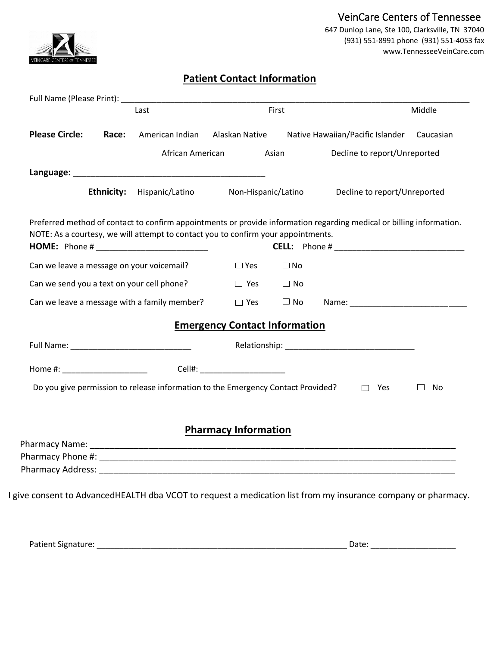

## VeinCare Centers of Tennessee 647 Dunlop Lane, Ste 100, Clarksville, TN 37040 (931) 551-8991 phone (931) 551-4053 fax www.TennesseeVeinCare.com

## **Patient Contact Information**

| Last                                         |       | First                                                                                                                                  |                                      |              | Middle                                                                                                               |         |
|----------------------------------------------|-------|----------------------------------------------------------------------------------------------------------------------------------------|--------------------------------------|--------------|----------------------------------------------------------------------------------------------------------------------|---------|
| <b>Please Circle:</b>                        | Race: | American Indian                                                                                                                        | Alaskan Native                       |              | Native Hawaiian/Pacific Islander Caucasian                                                                           |         |
|                                              |       |                                                                                                                                        | African American                     | Asian        | Decline to report/Unreported                                                                                         |         |
|                                              |       |                                                                                                                                        |                                      |              |                                                                                                                      |         |
|                                              |       | <b>Ethnicity:</b> Hispanic/Latino Mon-Hispanic/Latino                                                                                  |                                      |              | Decline to report/Unreported                                                                                         |         |
|                                              |       | NOTE: As a courtesy, we will attempt to contact you to confirm your appointments.<br><b>HOME:</b> Phone # ____________________________ |                                      |              | Preferred method of contact to confirm appointments or provide information regarding medical or billing information. |         |
| Can we leave a message on your voicemail?    |       |                                                                                                                                        | $\square$ Yes                        | $\square$ No |                                                                                                                      |         |
| Can we send you a text on your cell phone?   |       | $\square$ Yes                                                                                                                          | $\Box$ No                            |              |                                                                                                                      |         |
| Can we leave a message with a family member? |       | $\square$ Yes                                                                                                                          | $\Box$ No                            |              |                                                                                                                      |         |
|                                              |       |                                                                                                                                        | <b>Emergency Contact Information</b> |              |                                                                                                                      |         |
|                                              |       |                                                                                                                                        |                                      |              |                                                                                                                      |         |
|                                              |       |                                                                                                                                        |                                      |              |                                                                                                                      |         |
|                                              |       | Do you give permission to release information to the Emergency Contact Provided?                                                       |                                      |              | $\Box$ Yes                                                                                                           | ப<br>No |
|                                              |       |                                                                                                                                        |                                      |              |                                                                                                                      |         |
|                                              |       |                                                                                                                                        | <b>Pharmacy Information</b>          |              |                                                                                                                      |         |
|                                              |       |                                                                                                                                        |                                      |              |                                                                                                                      |         |
|                                              |       |                                                                                                                                        |                                      |              |                                                                                                                      |         |
|                                              |       |                                                                                                                                        |                                      |              |                                                                                                                      |         |

Patient Signature: \_\_\_\_\_\_\_\_\_\_\_\_\_\_\_\_\_\_\_\_\_\_\_\_\_\_\_\_\_\_\_\_\_\_\_\_\_\_\_\_\_\_\_\_\_\_\_\_\_\_\_\_\_\_\_\_ Date: \_\_\_\_\_\_\_\_\_\_\_\_\_\_\_\_\_\_\_